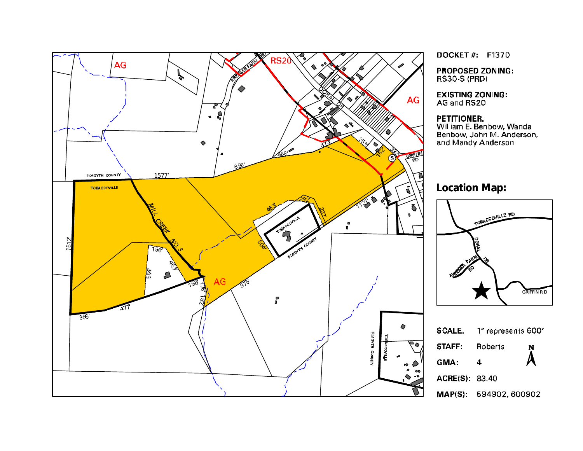

**DOCKET #: F1370** 

**PROPOSED ZONING: RS30-S (PRD)** 

**EXISTING ZONING:** AG and RS20

#### **PETITIONER:**

William E. Benbow, Wanda Benbow, John M. Anderson, and Mandy Anderson

# **Location Map:**



 $\overline{\mathbf{4}}$ 

ACRE(S): 83.40

MAP(S): 594902, 600902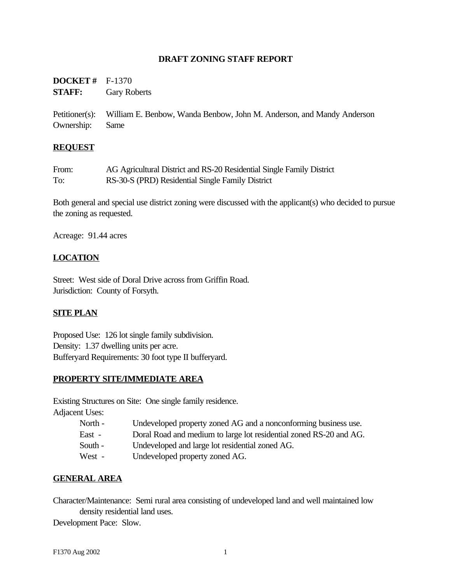#### **DRAFT ZONING STAFF REPORT**

| <b>DOCKET</b> # $F-1370$ |                     |
|--------------------------|---------------------|
| <b>STAFF:</b>            | <b>Gary Roberts</b> |

Petitioner(s): William E. Benbow, Wanda Benbow, John M. Anderson, and Mandy Anderson Ownership: Same

#### **REQUEST**

| From: | AG Agricultural District and RS-20 Residential Single Family District |
|-------|-----------------------------------------------------------------------|
| To:   | RS-30-S (PRD) Residential Single Family District                      |

Both general and special use district zoning were discussed with the applicant(s) who decided to pursue the zoning as requested.

Acreage: 91.44 acres

#### **LOCATION**

Street: West side of Doral Drive across from Griffin Road. Jurisdiction: County of Forsyth.

#### **SITE PLAN**

Proposed Use: 126 lot single family subdivision. Density: 1.37 dwelling units per acre. Bufferyard Requirements: 30 foot type II bufferyard.

#### **PROPERTY SITE/IMMEDIATE AREA**

Existing Structures on Site: One single family residence.

Adjacent Uses:

- North Undeveloped property zoned AG and a nonconforming business use.
- East Doral Road and medium to large lot residential zoned RS-20 and AG.
- South Undeveloped and large lot residential zoned AG.
- West Undeveloped property zoned AG.

#### **GENERAL AREA**

Character/Maintenance: Semi rural area consisting of undeveloped land and well maintained low density residential land uses.

Development Pace: Slow.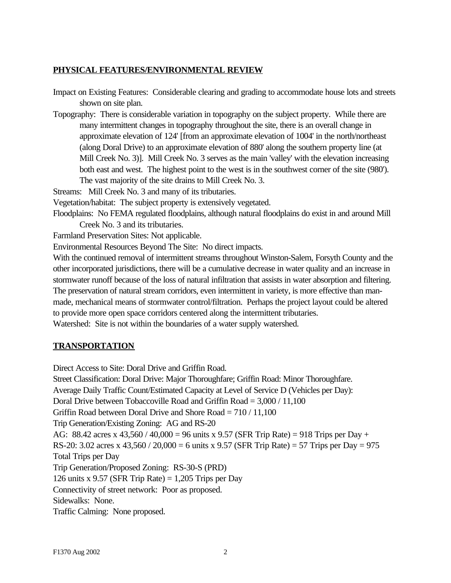## **PHYSICAL FEATURES/ENVIRONMENTAL REVIEW**

Impact on Existing Features: Considerable clearing and grading to accommodate house lots and streets shown on site plan.

Topography: There is considerable variation in topography on the subject property. While there are many intermittent changes in topography throughout the site, there is an overall change in approximate elevation of 124' [from an approximate elevation of 1004' in the north/northeast (along Doral Drive) to an approximate elevation of 880' along the southern property line (at Mill Creek No. 3)]. Mill Creek No. 3 serves as the main 'valley' with the elevation increasing both east and west. The highest point to the west is in the southwest corner of the site (980'). The vast majority of the site drains to Mill Creek No. 3.

Streams: Mill Creek No. 3 and many of its tributaries.

Vegetation/habitat: The subject property is extensively vegetated.

Floodplains: No FEMA regulated floodplains, although natural floodplains do exist in and around Mill Creek No. 3 and its tributaries.

Farmland Preservation Sites: Not applicable.

Environmental Resources Beyond The Site: No direct impacts.

With the continued removal of intermittent streams throughout Winston-Salem, Forsyth County and the other incorporated jurisdictions, there will be a cumulative decrease in water quality and an increase in stormwater runoff because of the loss of natural infiltration that assists in water absorption and filtering. The preservation of natural stream corridors, even intermittent in variety, is more effective than manmade, mechanical means of stormwater control/filtration. Perhaps the project layout could be altered to provide more open space corridors centered along the intermittent tributaries.

Watershed: Site is not within the boundaries of a water supply watershed.

## **TRANSPORTATION**

Direct Access to Site: Doral Drive and Griffin Road.

Street Classification: Doral Drive: Major Thoroughfare; Griffin Road: Minor Thoroughfare. Average Daily Traffic Count/Estimated Capacity at Level of Service D (Vehicles per Day): Doral Drive between Tobaccoville Road and Griffin Road = 3,000 / 11,100 Griffin Road between Doral Drive and Shore Road = 710 / 11,100 Trip Generation/Existing Zoning: AG and RS-20 AG: 88.42 acres x 43,560 / 40,000 = 96 units x 9.57 (SFR Trip Rate) = 918 Trips per Day + RS-20: 3.02 acres x 43,560 / 20,000 = 6 units x 9.57 (SFR Trip Rate) = 57 Trips per Day = 975 Total Trips per Day Trip Generation/Proposed Zoning: RS-30-S (PRD) 126 units x 9.57 (SFR Trip Rate) =  $1,205$  Trips per Day Connectivity of street network: Poor as proposed. Sidewalks: None. Traffic Calming: None proposed.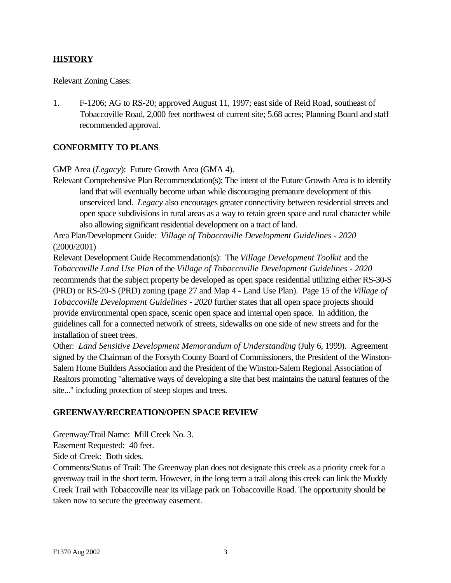## **HISTORY**

Relevant Zoning Cases:

1. F-1206; AG to RS-20; approved August 11, 1997; east side of Reid Road, southeast of Tobaccoville Road, 2,000 feet northwest of current site; 5.68 acres; Planning Board and staff recommended approval.

## **CONFORMITY TO PLANS**

GMP Area (*Legacy*): Future Growth Area (GMA 4).

Relevant Comprehensive Plan Recommendation(s): The intent of the Future Growth Area is to identify land that will eventually become urban while discouraging premature development of this unserviced land. *Legacy* also encourages greater connectivity between residential streets and open space subdivisions in rural areas as a way to retain green space and rural character while also allowing significant residential development on a tract of land.

Area Plan/Development Guide: *Village of Tobaccoville Development Guidelines - 2020* (2000/2001)

Relevant Development Guide Recommendation(s): The *Village Development Toolkit* and the *Tobaccoville Land Use Plan* of the *Village of Tobaccoville Development Guidelines - 2020* recommends that the subject property be developed as open space residential utilizing either RS-30-S (PRD) or RS-20-S (PRD) zoning (page 27 and Map 4 - Land Use Plan). Page 15 of the *Village of Tobaccoville Development Guidelines - 2020* further states that all open space projects should provide environmental open space, scenic open space and internal open space. In addition, the guidelines call for a connected network of streets, sidewalks on one side of new streets and for the installation of street trees.

Other: *Land Sensitive Development Memorandum of Understanding* (July 6, 1999). Agreement signed by the Chairman of the Forsyth County Board of Commissioners, the President of the Winston-Salem Home Builders Association and the President of the Winston-Salem Regional Association of Realtors promoting "alternative ways of developing a site that best maintains the natural features of the site..." including protection of steep slopes and trees.

#### **GREENWAY/RECREATION/OPEN SPACE REVIEW**

Greenway/Trail Name: Mill Creek No. 3.

Easement Requested: 40 feet.

Side of Creek: Both sides.

Comments/Status of Trail: The Greenway plan does not designate this creek as a priority creek for a greenway trail in the short term. However, in the long term a trail along this creek can link the Muddy Creek Trail with Tobaccoville near its village park on Tobaccoville Road. The opportunity should be taken now to secure the greenway easement.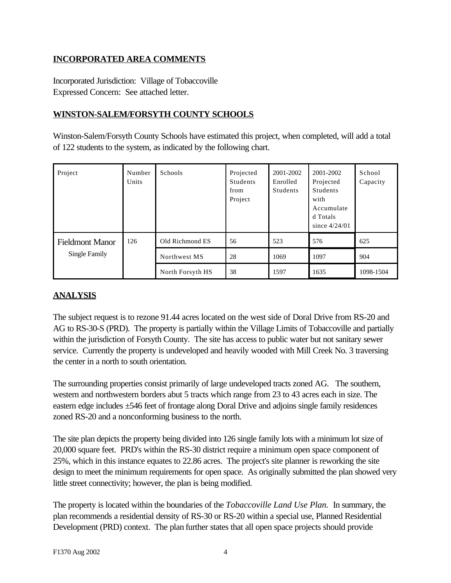## **INCORPORATED AREA COMMENTS**

Incorporated Jurisdiction: Village of Tobaccoville Expressed Concern: See attached letter.

## **WINSTON-SALEM/FORSYTH COUNTY SCHOOLS**

Winston-Salem/Forsyth County Schools have estimated this project, when completed, will add a total of 122 students to the system, as indicated by the following chart.

| Project                                 | Number<br>Units | <b>Schools</b>   | Projected<br>Students<br>from<br>Project | 2001-2002<br>Enrolled<br><b>Students</b> | 2001-2002<br>Projected<br><b>Students</b><br>with<br>Accumulate<br>d Totals<br>since $4/24/01$ | School<br>Capacity |
|-----------------------------------------|-----------------|------------------|------------------------------------------|------------------------------------------|------------------------------------------------------------------------------------------------|--------------------|
| <b>Fieldmont Manor</b><br>Single Family | 126             | Old Richmond ES  | 56                                       | 523                                      | 576                                                                                            | 625                |
|                                         |                 | Northwest MS     | 28                                       | 1069                                     | 1097                                                                                           | 904                |
|                                         |                 | North Forsyth HS | 38                                       | 1597                                     | 1635                                                                                           | 1098-1504          |

## **ANALYSIS**

The subject request is to rezone 91.44 acres located on the west side of Doral Drive from RS-20 and AG to RS-30-S (PRD). The property is partially within the Village Limits of Tobaccoville and partially within the jurisdiction of Forsyth County. The site has access to public water but not sanitary sewer service. Currently the property is undeveloped and heavily wooded with Mill Creek No. 3 traversing the center in a north to south orientation.

The surrounding properties consist primarily of large undeveloped tracts zoned AG. The southern, western and northwestern borders abut 5 tracts which range from 23 to 43 acres each in size. The eastern edge includes ±546 feet of frontage along Doral Drive and adjoins single family residences zoned RS-20 and a nonconforming business to the north.

The site plan depicts the property being divided into 126 single family lots with a minimum lot size of 20,000 square feet. PRD's within the RS-30 district require a minimum open space component of 25%, which in this instance equates to 22.86 acres. The project's site planner is reworking the site design to meet the minimum requirements for open space. As originally submitted the plan showed very little street connectivity; however, the plan is being modified.

The property is located within the boundaries of the *Tobaccoville Land Use Plan.* In summary, the plan recommends a residential density of RS-30 or RS-20 within a special use, Planned Residential Development (PRD) context. The plan further states that all open space projects should provide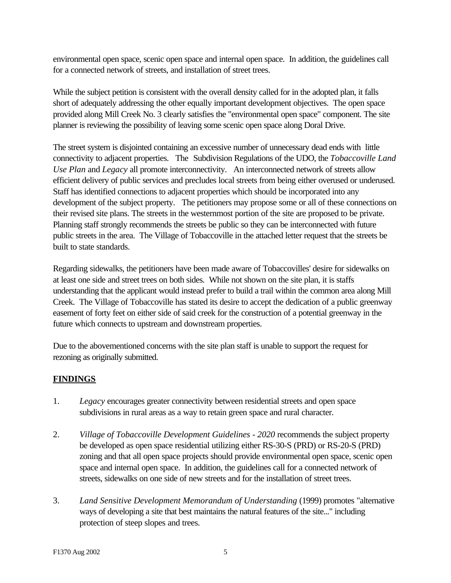environmental open space, scenic open space and internal open space. In addition, the guidelines call for a connected network of streets, and installation of street trees.

While the subject petition is consistent with the overall density called for in the adopted plan, it falls short of adequately addressing the other equally important development objectives. The open space provided along Mill Creek No. 3 clearly satisfies the "environmental open space" component. The site planner is reviewing the possibility of leaving some scenic open space along Doral Drive.

The street system is disjointed containing an excessive number of unnecessary dead ends with little connectivity to adjacent properties. The Subdivision Regulations of the UDO, the *Tobaccoville Land Use Plan* and *Legacy* all promote interconnectivity. An interconnected network of streets allow efficient delivery of public services and precludes local streets from being either overused or underused. Staff has identified connections to adjacent properties which should be incorporated into any development of the subject property. The petitioners may propose some or all of these connections on their revised site plans. The streets in the westernmost portion of the site are proposed to be private. Planning staff strongly recommends the streets be public so they can be interconnected with future public streets in the area. The Village of Tobaccoville in the attached letter request that the streets be built to state standards.

Regarding sidewalks, the petitioners have been made aware of Tobaccovilles' desire for sidewalks on at least one side and street trees on both sides. While not shown on the site plan, it is staffs understanding that the applicant would instead prefer to build a trail within the common area along Mill Creek. The Village of Tobaccoville has stated its desire to accept the dedication of a public greenway easement of forty feet on either side of said creek for the construction of a potential greenway in the future which connects to upstream and downstream properties.

Due to the abovementioned concerns with the site plan staff is unable to support the request for rezoning as originally submitted.

## **FINDINGS**

- 1. *Legacy* encourages greater connectivity between residential streets and open space subdivisions in rural areas as a way to retain green space and rural character.
- 2. *Village of Tobaccoville Development Guidelines 2020* recommends the subject property be developed as open space residential utilizing either RS-30-S (PRD) or RS-20-S (PRD) zoning and that all open space projects should provide environmental open space, scenic open space and internal open space. In addition, the guidelines call for a connected network of streets, sidewalks on one side of new streets and for the installation of street trees.
- 3. *Land Sensitive Development Memorandum of Understanding* (1999) promotes "alternative ways of developing a site that best maintains the natural features of the site..." including protection of steep slopes and trees.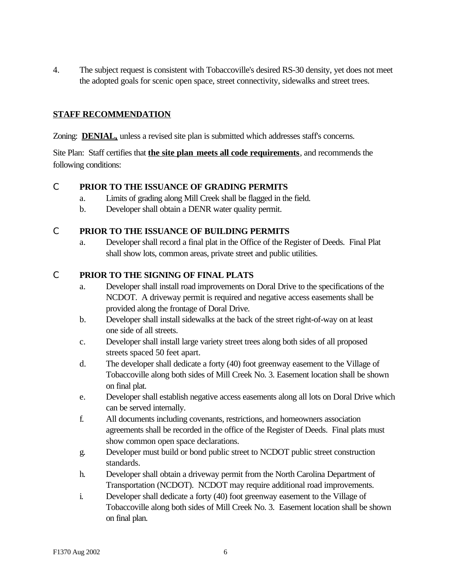4. The subject request is consistent with Tobaccoville's desired RS-30 density, yet does not meet the adopted goals for scenic open space, street connectivity, sidewalks and street trees.

## **STAFF RECOMMENDATION**

Zoning: **DENIAL**, unless a revised site plan is submitted which addresses staff's concerns.

Site Plan: Staff certifies that **the site plan meets all code requirements**, and recommends the following conditions:

## C **PRIOR TO THE ISSUANCE OF GRADING PERMITS**

- a. Limits of grading along Mill Creek shall be flagged in the field.
- b. Developer shall obtain a DENR water quality permit.

## C **PRIOR TO THE ISSUANCE OF BUILDING PERMITS**

a. Developer shall record a final plat in the Office of the Register of Deeds. Final Plat shall show lots, common areas, private street and public utilities.

## C **PRIOR TO THE SIGNING OF FINAL PLATS**

- a. Developer shall install road improvements on Doral Drive to the specifications of the NCDOT. A driveway permit is required and negative access easements shall be provided along the frontage of Doral Drive.
- b. Developer shall install sidewalks at the back of the street right-of-way on at least one side of all streets.
- c. Developer shall install large variety street trees along both sides of all proposed streets spaced 50 feet apart.
- d. The developer shall dedicate a forty (40) foot greenway easement to the Village of Tobaccoville along both sides of Mill Creek No. 3. Easement location shall be shown on final plat.
- e. Developer shall establish negative access easements along all lots on Doral Drive which can be served internally.
- f. All documents including covenants, restrictions, and homeowners association agreements shall be recorded in the office of the Register of Deeds. Final plats must show common open space declarations.
- g. Developer must build or bond public street to NCDOT public street construction standards.
- h. Developer shall obtain a driveway permit from the North Carolina Department of Transportation (NCDOT). NCDOT may require additional road improvements.
- i. Developer shall dedicate a forty (40) foot greenway easement to the Village of Tobaccoville along both sides of Mill Creek No. 3. Easement location shall be shown on final plan.